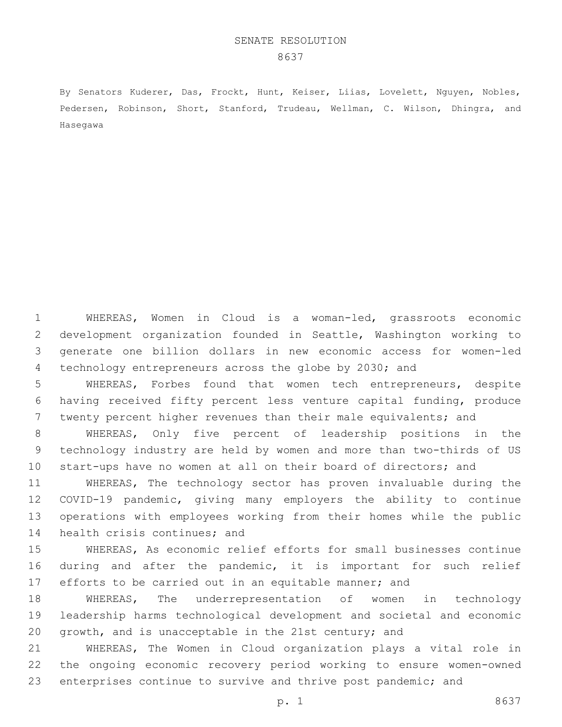By Senators Kuderer, Das, Frockt, Hunt, Keiser, Liias, Lovelett, Nguyen, Nobles, Pedersen, Robinson, Short, Stanford, Trudeau, Wellman, C. Wilson, Dhingra, and Hasegawa

 WHEREAS, Women in Cloud is a woman-led, grassroots economic development organization founded in Seattle, Washington working to generate one billion dollars in new economic access for women-led technology entrepreneurs across the globe by 2030; and

 WHEREAS, Forbes found that women tech entrepreneurs, despite having received fifty percent less venture capital funding, produce twenty percent higher revenues than their male equivalents; and

 WHEREAS, Only five percent of leadership positions in the technology industry are held by women and more than two-thirds of US start-ups have no women at all on their board of directors; and

 WHEREAS, The technology sector has proven invaluable during the COVID-19 pandemic, giving many employers the ability to continue operations with employees working from their homes while the public 14 health crisis continues; and

 WHEREAS, As economic relief efforts for small businesses continue during and after the pandemic, it is important for such relief 17 efforts to be carried out in an equitable manner; and

 WHEREAS, The underrepresentation of women in technology leadership harms technological development and societal and economic growth, and is unacceptable in the 21st century; and

 WHEREAS, The Women in Cloud organization plays a vital role in the ongoing economic recovery period working to ensure women-owned 23 enterprises continue to survive and thrive post pandemic; and

p. 1 8637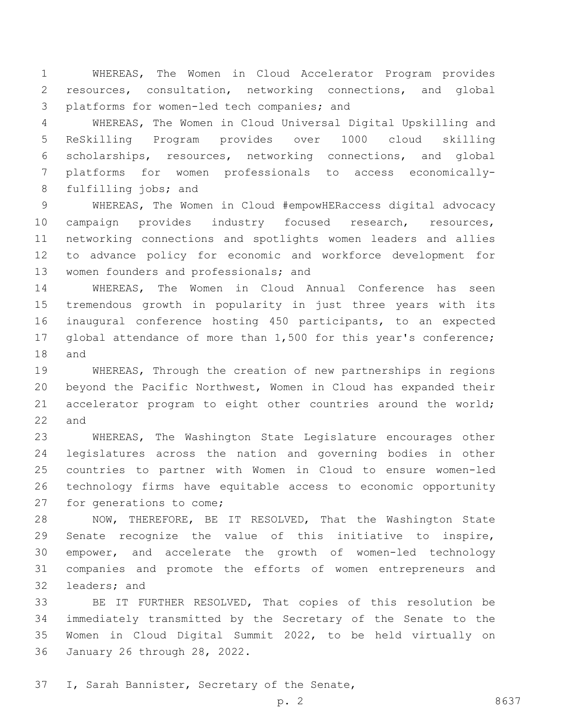WHEREAS, The Women in Cloud Accelerator Program provides resources, consultation, networking connections, and global 3 platforms for women-led tech companies; and

 WHEREAS, The Women in Cloud Universal Digital Upskilling and ReSkilling Program provides over 1000 cloud skilling scholarships, resources, networking connections, and global platforms for women professionals to access economically-8 fulfilling jobs; and

 WHEREAS, The Women in Cloud #empowHERaccess digital advocacy campaign provides industry focused research, resources, networking connections and spotlights women leaders and allies to advance policy for economic and workforce development for 13 women founders and professionals; and

 WHEREAS, The Women in Cloud Annual Conference has seen tremendous growth in popularity in just three years with its inaugural conference hosting 450 participants, to an expected global attendance of more than 1,500 for this year's conference; and

 WHEREAS, Through the creation of new partnerships in regions beyond the Pacific Northwest, Women in Cloud has expanded their accelerator program to eight other countries around the world; and

 WHEREAS, The Washington State Legislature encourages other legislatures across the nation and governing bodies in other countries to partner with Women in Cloud to ensure women-led technology firms have equitable access to economic opportunity 27 for generations to come;

 NOW, THEREFORE, BE IT RESOLVED, That the Washington State Senate recognize the value of this initiative to inspire, empower, and accelerate the growth of women-led technology companies and promote the efforts of women entrepreneurs and 32 leaders; and

 BE IT FURTHER RESOLVED, That copies of this resolution be immediately transmitted by the Secretary of the Senate to the Women in Cloud Digital Summit 2022, to be held virtually on 36 January 26 through 28, 2022.

37 I, Sarah Bannister, Secretary of the Senate,